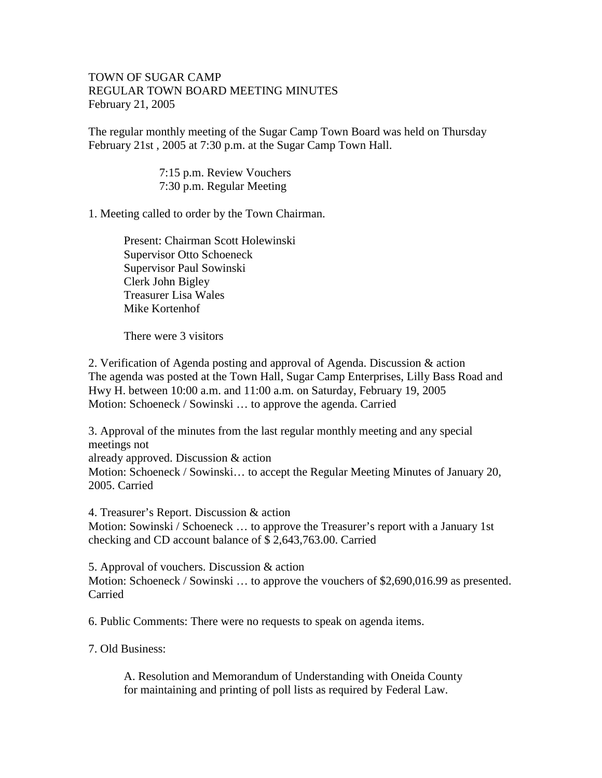## TOWN OF SUGAR CAMP REGULAR TOWN BOARD MEETING MINUTES February 21, 2005

The regular monthly meeting of the Sugar Camp Town Board was held on Thursday February 21st , 2005 at 7:30 p.m. at the Sugar Camp Town Hall.

> 7:15 p.m. Review Vouchers 7:30 p.m. Regular Meeting

1. Meeting called to order by the Town Chairman.

Present: Chairman Scott Holewinski Supervisor Otto Schoeneck Supervisor Paul Sowinski Clerk John Bigley Treasurer Lisa Wales Mike Kortenhof

There were 3 visitors

2. Verification of Agenda posting and approval of Agenda. Discussion & action The agenda was posted at the Town Hall, Sugar Camp Enterprises, Lilly Bass Road and Hwy H. between 10:00 a.m. and 11:00 a.m. on Saturday, February 19, 2005 Motion: Schoeneck / Sowinski … to approve the agenda. Carried

3. Approval of the minutes from the last regular monthly meeting and any special meetings not already approved. Discussion & action Motion: Schoeneck / Sowinski… to accept the Regular Meeting Minutes of January 20, 2005. Carried

4. Treasurer's Report. Discussion & action Motion: Sowinski / Schoeneck … to approve the Treasurer's report with a January 1st checking and CD account balance of \$ 2,643,763.00. Carried

5. Approval of vouchers. Discussion & action Motion: Schoeneck / Sowinski … to approve the vouchers of \$2,690,016.99 as presented. Carried

6. Public Comments: There were no requests to speak on agenda items.

7. Old Business:

A. Resolution and Memorandum of Understanding with Oneida County for maintaining and printing of poll lists as required by Federal Law.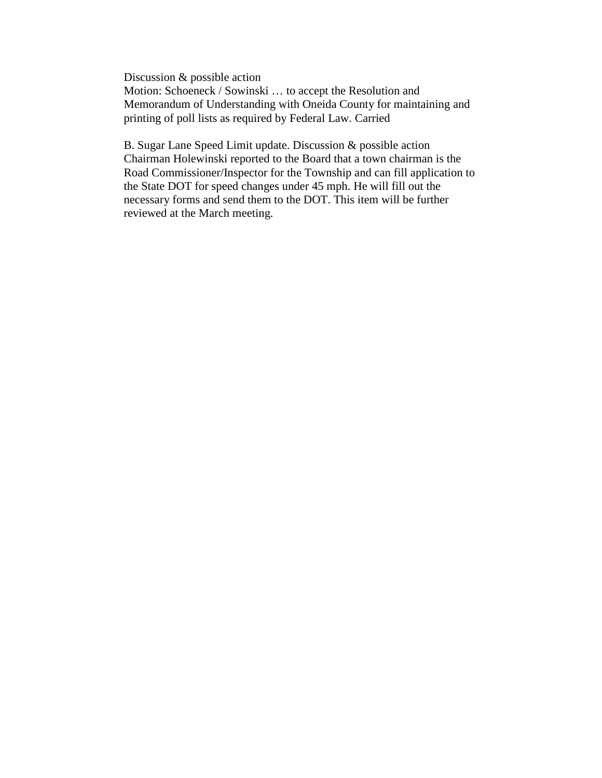Discussion & possible action Motion: Schoeneck / Sowinski … to accept the Resolution and Memorandum of Understanding with Oneida County for maintaining and printing of poll lists as required by Federal Law. Carried

B. Sugar Lane Speed Limit update. Discussion & possible action Chairman Holewinski reported to the Board that a town chairman is the Road Commissioner/Inspector for the Township and can fill application to the State DOT for speed changes under 45 mph. He will fill out the necessary forms and send them to the DOT. This item will be further reviewed at the March meeting.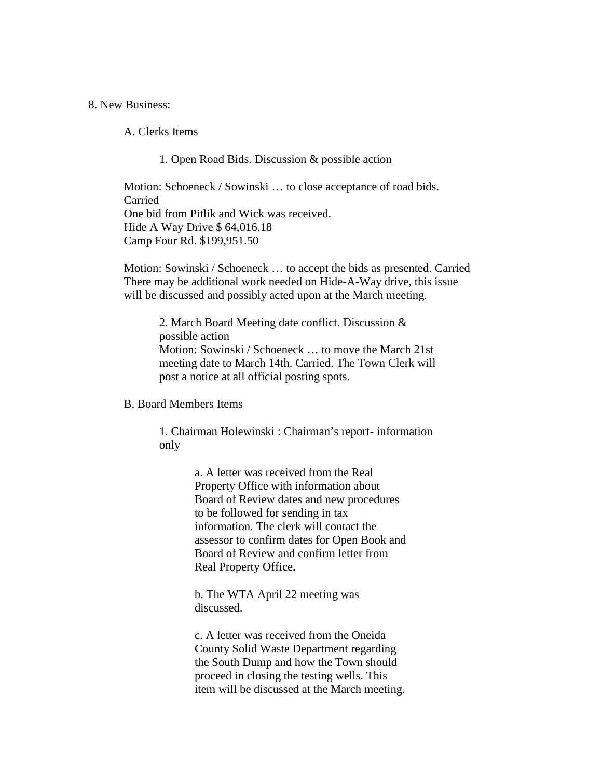8. New Business:

A. Clerks Items

1. Open Road Bids. Discussion & possible action

Motion: Schoeneck / Sowinski … to close acceptance of road bids. Carried One bid from Pitlik and Wick was received. Hide A Way Drive \$ 64,016.18 Camp Four Rd. \$199,951.50

Motion: Sowinski / Schoeneck … to accept the bids as presented. Carried There may be additional work needed on Hide-A-Way drive, this issue will be discussed and possibly acted upon at the March meeting.

2. March Board Meeting date conflict. Discussion & possible action Motion: Sowinski / Schoeneck … to move the March 21st meeting date to March 14th. Carried. The Town Clerk will post a notice at all official posting spots.

## B. Board Members Items

1. Chairman Holewinski : Chairman's report- information only

> a. A letter was received from the Real Property Office with information about Board of Review dates and new procedures to be followed for sending in tax information. The clerk will contact the assessor to confirm dates for Open Book and Board of Review and confirm letter from Real Property Office.

b. The WTA April 22 meeting was discussed.

c. A letter was received from the Oneida County Solid Waste Department regarding the South Dump and how the Town should proceed in closing the testing wells. This item will be discussed at the March meeting.